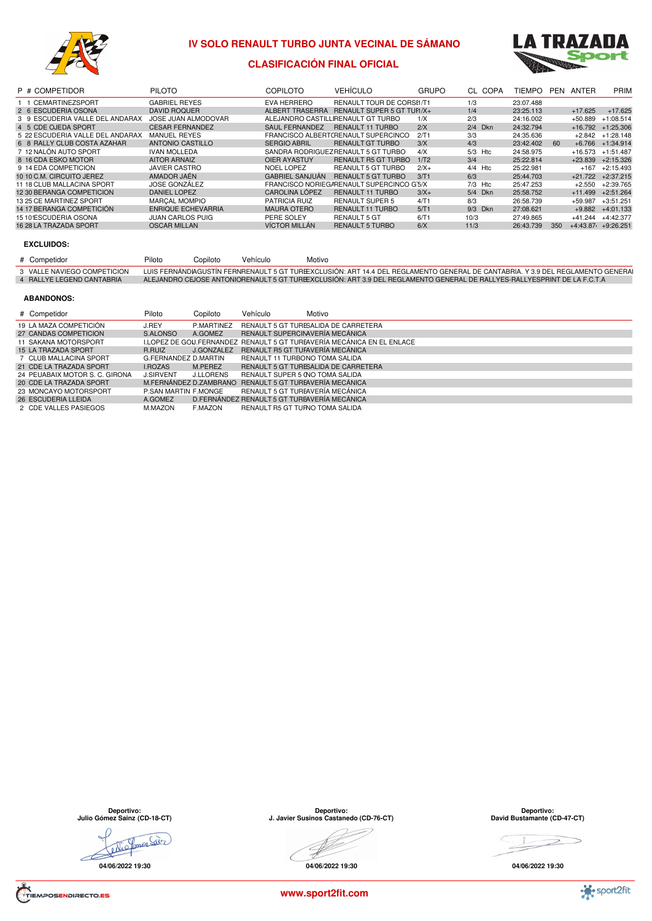

### **IV SOLO RENAULT TURBO JUNTA VECINAL DE SÁMANO**



### **CLASIFICACIÓN FINAL OFICIAL**

| P # COMPETIDOR                   | <b>PILOTO</b>             | COPILOTO               | <b>VEHÍCULO</b>                           | <b>GRUPO</b> |           | CL COPA | TIEMPO    | PEN | ANTER     | PRIM                   |
|----------------------------------|---------------------------|------------------------|-------------------------------------------|--------------|-----------|---------|-----------|-----|-----------|------------------------|
| 1 1 CEMARTINEZSPORT              | <b>GABRIEL REYES</b>      | EVA HERRERO            | RENAULT TOUR DE CORSI1/T1                 |              | 1/3       |         | 23:07.488 |     |           |                        |
| 2 6 ESCUDERIA OSONA              | <b>DAVID ROQUER</b>       | ALBERT TRASERRA        | RENAULT SUPER 5 GT TUH/X+                 |              | 1/4       |         | 23:25.113 |     | $+17.625$ | $+17.625$              |
| 3 9 ESCUDERIA VALLE DEL ANDARAX  | JOSE JUAN ALMODOVAR       |                        | ALEJANDRO CASTILLIRENAULT GT TURBO        | 1/X          | 2/3       |         | 24:16.002 |     | $+50.889$ | $+1:08.514$            |
| 4 5 CDE OJEDA SPORT              | <b>CESAR FERNANDEZ</b>    | SAUL FERNANDEZ         | <b>RENAULT 11 TURBO</b>                   | 2/X          | 2/4 Dkn   |         | 24:32.794 |     | $+16.792$ | $+1:25.306$            |
| 5 22 ESCUDERIA VALLE DEL ANDARAX | <b>MANUEL REYES</b>       |                        | FRANCISCO ALBERTCRENAULT SUPERCINCO       | 2/T1         | 3/3       |         | 24:35.636 |     | $+2.842$  | $+1:28.148$            |
| 6 8 RALLY CLUB COSTA AZAHAR      | <b>ANTONIO CASTILLO</b>   | <b>SERGIO ABRIL</b>    | <b>RENAULT GT TURBO</b>                   | 3/X          | 4/3       |         | 23:42.402 | 60  | $+6.766$  | $+1:34.914$            |
| 7 12 NALÓN AUTO SPORT            | <b>IVAN MOLLEDA</b>       |                        | SANDRA RODRIGUEZRENAULT 5 GT TURBO        | 4/X          | 5/3 Htc   |         | 24:58.975 |     | +16.573   | $+1:51.487$            |
| 8 16 CDA ESKO MOTOR              | <b>AITOR ARNAIZ</b>       | OIER AYASTUY           | <b>RENAULT R5 GT TURBO</b>                | 1/T2         | 3/4       |         | 25:22.814 |     | $+23.839$ | $+2:15.326$            |
| 9 14 EDA COMPETICION             | <b>JAVIER CASTRO</b>      | NOEL LOPEZ             | <b>REANULT 5 GT TURBO</b>                 | $2/X+$       | $4/4$ Htc |         | 25:22.981 |     | $+167$    | $+2:15.493$            |
| 10 10 C.M. CIRCUITO JEREZ        | AMADOR JAÉN               | <b>GABRIEL SANJUAN</b> | <b>RENAULT 5 GT TURBO</b>                 | 3/T1         | 6/3       |         | 25:44.703 |     | $+21.722$ | $+2:37.215$            |
| 11 18 CLUB MALLACINA SPORT       | <b>JOSE GONZÁLEZ</b>      |                        | FRANCISCO NORIEGARENAULT SUPERCINCO G'5/X |              | $7/3$ Htc |         | 25:47.253 |     | $+2.550$  | $+2:39.765$            |
| 12 30 BERANGA COMPETICION        | <b>DANIEL LOPEZ</b>       | <b>CAROLINA LÓPEZ</b>  | <b>RENAULT 11 TURBO</b>                   | $3/X+$       | 5/4 Dkn   |         | 25:58.752 |     | $+11.499$ | $+2:51.264$            |
| 13 25 CE MARTINEZ SPORT          | <b>MARCAL MOMPIO</b>      | <b>PATRICIA RUIZ</b>   | <b>RENAULT SUPER 5</b>                    | 4/T1         | 8/3       |         | 26:58.739 |     | $+59.987$ | $+3:51.251$            |
| 14 17 BERANGA COMPETICIÓN        | <b>ENRIQUE ECHEVARRIA</b> | <b>MAURA OTERO</b>     | <b>RENAULT 11 TURBO</b>                   | 5/T1         | 9/3 Dkn   |         | 27:08.621 |     | $+9.882$  | $+4:01.133$            |
| 15 10 ESCUDERIA OSONA            | <b>JUAN CARLOS PUIG</b>   | PERE SOLEY             | <b>RENAULT 5 GT</b>                       | 6/T1         | 10/3      |         | 27:49.865 |     | +41.244   | $+4:42.377$            |
| 16 28 LA TRAZADA SPORT           | <b>OSCAR MILLAN</b>       | <b>VÍCTOR MILLÁN</b>   | <b>RENAULT 5 TURBO</b>                    | 6/X          | 11/3      |         | 26:43.739 | 350 |           | $+4:43.87$ $+9:26.251$ |
|                                  |                           |                        |                                           |              |           |         |           |     |           |                        |

#### **EXCLUIDOS:**

J

| # Competidor                | Piloto | Copiloto | Vehículo | Motivo |                                                                                                                                 |
|-----------------------------|--------|----------|----------|--------|---------------------------------------------------------------------------------------------------------------------------------|
| 3 VALLE NAVIEGO COMPETICION |        |          |          |        | LUIS FERNÁNDIAGUSTÍN FERNRENAULT 5 GT TUREEXCLUSIÓN: ART 14.4 DEL REGLAMENTO GENERAL DE CANTABRIA. Y 3.9 DEL REGLAMENTO GENERAI |
| 4 RALLYE LEGEND CANTABRIA   |        |          |          |        | ALEJANDRO CEJOSE ANTONIORENAULT 5 GT TUREEXCLUSIÓN: ART 3.9 DEL REGLAMENTO GENERAL DE RALLYES-RALLYESPRINT DE LA F.C.T.A        |
|                             |        |          |          |        |                                                                                                                                 |

#### **ABANDONOS:**

| # Competidor                   | Piloto               | Copiloto         | Vehículo | Motivo                                                  |                                                                        |  |
|--------------------------------|----------------------|------------------|----------|---------------------------------------------------------|------------------------------------------------------------------------|--|
| 19 LA MAZA COMPETICIÓN         | J.REY                | P.MARTINEZ       |          | RENAULT 5 GT TURESALIDA DE CARRETERA                    |                                                                        |  |
| 27 CANDAS COMPETICION          | S.ALONSO             | A.GOMEZ          |          | RENAULT SUPERCINAVERÍA MECÁNICA                         |                                                                        |  |
| 11 SAKANA MOTORSPORT           |                      |                  |          |                                                         | I.LOPEZ DE GOU.FERNANDEZ RENAULT 5 GT TUREAVERÍA MECÁNICA EN EL ENLACE |  |
| 15 LA TRAZADA SPORT            | R.RUIZ               | J.GONZALEZ       |          | RENAULT R5 GT TUFAVERÍA MECÁNICA                        |                                                                        |  |
| 7 CLUB MALLACINA SPORT         | G.FERNANDEZ D.MARTIN |                  |          | RENAULT 11 TURBONO TOMA SALIDA                          |                                                                        |  |
| 21 CDE LA TRAZADA SPORT        | <b>I.ROZAS</b>       | M.PEREZ          |          | RENAULT 5 GT TURESALIDA DE CARRETERA                    |                                                                        |  |
| 24 PEUABAIX MOTOR S. C. GIRONA | <b>J.SIRVENT</b>     | <b>J.LLORENS</b> |          | RENAULT SUPER 5 (NO TOMA SALIDA                         |                                                                        |  |
| 20 CDE LA TRAZADA SPORT        |                      |                  |          | M.FERNÁNDEZ D.ZAMBRANO RENAULT 5 GT TURFAVERÍA MECÁNICA |                                                                        |  |
| 23 MONCAYO MOTORSPORT          | P.SAN MARTIN F.MONGE |                  |          | <b>RENAULT 5 GT TUREAVERÍA MECÁNICA</b>                 |                                                                        |  |
| 26 ESCUDERIA LLEIDA            | A.GOMEZ              |                  |          | D.FERNÁNDEZ RENAULT 5 GT TUREAVERÍA MECÁNICA            |                                                                        |  |
| 2 CDE VALLES PASIEGOS          | M.MAZON              | F.MAZON          |          | RENAULT R5 GT TURNO TOMA SALIDA                         |                                                                        |  |

**Deportivo: Julio Gómez Sainz (CD-18-CT)**

ellio Comer Sièr **04/06/2022 19:30**

**Deportivo: J. Javier Susinos Castanedo (CD-76-CT)**

**04/06/2022 19:30**

**Deportivo: David Bustamante (CD-47-CT)**

 $\gt$ 

**04/06/2022 19:30**

TIEMPOSENDIRECTO.ES

**www.sport2fit.com**

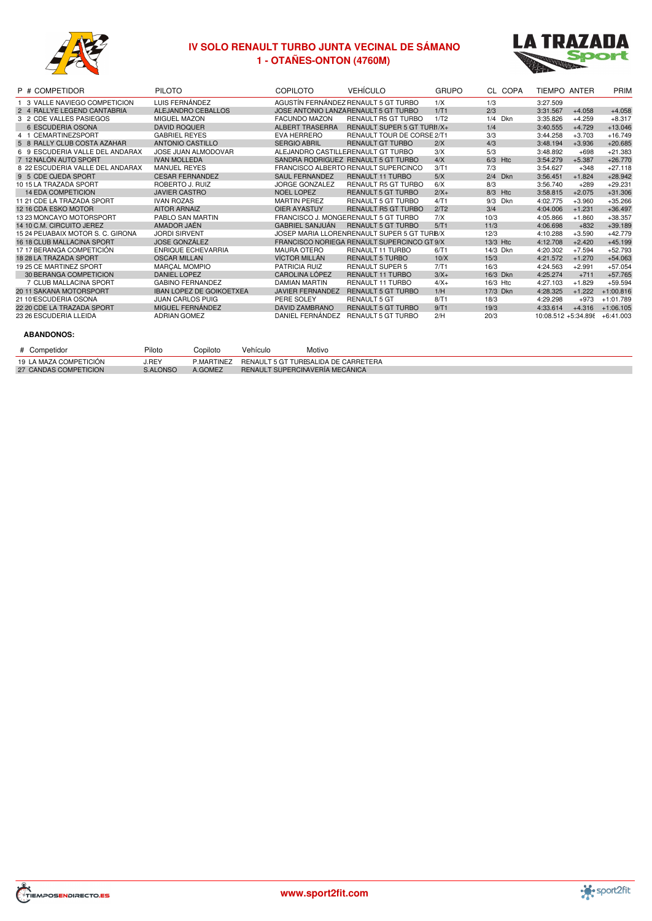

# **IV SOLO RENAULT TURBO JUNTA VECINAL DE SÁMANO - OTAÑES-ONTON (4760M)**



| P # COMPETIDOR                    | <b>PILOTO</b>                   | <b>COPILOTO</b>         | <b>VEHÍCULO</b>                              | <b>GRUPO</b> | CL COPA           | TIEMPO ANTER        |          | PRIM        |
|-----------------------------------|---------------------------------|-------------------------|----------------------------------------------|--------------|-------------------|---------------------|----------|-------------|
| 3 VALLE NAVIEGO COMPETICION       | LUIS FERNÁNDEZ                  |                         | AGUSTÍN FERNÁNDEZ RENAULT 5 GT TURBO         | 1/X          | 1/3               | 3:27.509            |          |             |
| 2 4 RALLYE LEGEND CANTABRIA       | ALEJANDRO CEBALLOS              |                         | JOSE ANTONIO LANZARENAULT 5 GT TURBO         | 1/T1         | 2/3               | 3:31.567            | $+4.058$ | $+4.058$    |
| 3 2 CDE VALLES PASIEGOS           | MIGUEL MAZON                    | <b>FACUNDO MAZON</b>    | RENAULT R5 GT TURBO                          | 1/T2         | 1/4<br><b>Dkn</b> | 3:35.826            | $+4.259$ | $+8.317$    |
| 6 ESCUDERIA OSONA                 | <b>DAVID ROQUER</b>             | <b>ALBERT TRASERRA</b>  | RENAULT SUPER 5 GT TURI1/X+                  |              | 1/4               | 3:40.555            | $+4.729$ | $+13.046$   |
| 4 1 CEMARTINEZSPORT               | <b>GABRIEL REYES</b>            | EVA HERRERO             | RENAULT TOUR DE CORSE 2/T1                   |              | 3/3               | 3:44.258            | $+3.703$ | $+16.749$   |
| 5 8 RALLY CLUB COSTA AZAHAR       | <b>ANTONIO CASTILLO</b>         | <b>SERGIO ABRIL</b>     | <b>RENAULT GT TURBO</b>                      | 2/X          | 4/3               | 3:48.194            | $+3.936$ | $+20.685$   |
| 6 9 ESCUDERIA VALLE DEL ANDARAX   | <b>JOSE JUAN ALMODOVAR</b>      |                         | ALEJANDRO CASTILLERENAULT GT TURBO           | 3/X          | 5/3               | 3:48.892            | $+698$   | $+21.383$   |
| 7 12 NALÓN AUTO SPORT             | <b>IVAN MOLLEDA</b>             |                         | SANDRA RODRIGUEZ RENAULT 5 GT TURBO          | 4/X          | $6/3$ Htc         | 3:54.279            | $+5.387$ | $+26.770$   |
| 8 22 ESCUDERIA VALLE DEL ANDARAX  | <b>MANUEL REYES</b>             |                         | FRANCISCO ALBERTO RENAULT SUPERCINCO         | 3/T1         | 7/3               | 3:54.627            | $+348$   | $+27.118$   |
| 9 5 CDE OJEDA SPORT               | <b>CESAR FERNANDEZ</b>          | <b>SAUL FERNANDEZ</b>   | <b>RENAULT 11 TURBO</b>                      | 5/X          | 2/4<br><b>Dkn</b> | 3:56.451            | $+1.824$ | $+28.942$   |
| 10 15 LA TRAZADA SPORT            | ROBERTO J. RUIZ                 | <b>JORGE GONZALEZ</b>   | RENAULT R5 GT TURBO                          | 6/X          | 8/3               | 3:56.740            | $+289$   | $+29.231$   |
| <b>14 EDA COMPETICION</b>         | <b>JAVIER CASTRO</b>            | <b>NOEL LOPEZ</b>       | <b>REANULT 5 GT TURBO</b>                    | $2/X+$       | 8/3<br>Htc        | 3:58.815            | $+2.075$ | $+31.306$   |
| 11 21 CDE LA TRAZADA SPORT        | <b>IVAN ROZAS</b>               | <b>MARTIN PEREZ</b>     | <b>RENAULT 5 GT TURBO</b>                    | 4/T1         | 9/3<br>Dkn        | 4:02.775            | $+3.960$ | $+35.266$   |
| 12 16 CDA ESKO MOTOR              | <b>AITOR ARNAIZ</b>             | <b>OIER AYASTUY</b>     | <b>RENAULT R5 GT TURBO</b>                   | 2/T2         | 3/4               | 4:04.006            | $+1.231$ | $+36.497$   |
| 13 23 MONCAYO MOTORSPORT          | PABLO SAN MARTIN                |                         | FRANCISCO J. MONGERENAULT 5 GT TURBO         | 7/X          | 10/3              | 4:05.866            | $+1.860$ | $+38.357$   |
| 14 10 C.M. CIRCUITO JEREZ         | AMADOR JAÉN                     | <b>GABRIEL SANJUAN</b>  | <b>RENAULT 5 GT TURBO</b>                    | 5/T1         | 11/3              | 4:06.698            | $+832$   | $+39.189$   |
| 15 24 PEUABAIX MOTOR S. C. GIRONA | <b>JORDI SIRVENT</b>            |                         | JOSEP MARIA LLORENRENAULT SUPER 5 GT TURI8/X |              | 12/3              | 4:10.288            | $+3.590$ | $+42.779$   |
| 16 18 CLUB MALLACINA SPORT        | <b>JOSE GONZÁLEZ</b>            |                         | FRANCISCO NORIEGA RENAULT SUPERCINCO GT 9/X  |              | 13/3 Htc          | 4:12.708            | $+2.420$ | $+45.199$   |
| 17 17 BERANGA COMPETICIÓN         | <b>ENRIQUE ECHEVARRIA</b>       | <b>MAURA OTERO</b>      | RENAULT 11 TURBO                             | 6/T1         | 14/3 Dkn          | 4:20.302            | $+7.594$ | $+52.793$   |
| 18 28 LA TRAZADA SPORT            | <b>OSCAR MILLAN</b>             | VÍCTOR MILLÁN           | <b>RENAULT 5 TURBO</b>                       | 10/X         | 15/3              | 4:21.572            | $+1.270$ | $+54.063$   |
| 19 25 CE MARTINEZ SPORT           | <b>MARÇAL MOMPIO</b>            | PATRICIA RUIZ           | <b>RENAULT SUPER 5</b>                       | 7/T1         | 16/3              | 4:24.563            | $+2.991$ | $+57.054$   |
| 30 BERANGA COMPETICION            | <b>DANIEL LOPEZ</b>             | <b>CAROLINA LÓPEZ</b>   | <b>RENAULT 11 TURBO</b>                      | $3/X+$       | 16/3 Dkn          | 4:25.274            | $+711$   | $+57.765$   |
| 7 CLUB MALLACINA SPORT            | <b>GABINO FERNANDEZ</b>         | <b>DAMIAN MARTIN</b>    | RENAULT 11 TURBO                             | $4/X+$       | 16/3 Htc          | 4:27.103            | $+1.829$ | $+59.594$   |
| 2011 SAKANA MOTORSPORT            | <b>IBAN LOPEZ DE GOIKOETXEA</b> | <b>JAVIER FERNANDEZ</b> | <b>RENAULT 5 GT TURBO</b>                    | 1/H          | 17/3 Dkn          | 4:28.325            | $+1.222$ | $+1:00.816$ |
| 21 10 ESCUDERIA OSONA             | <b>JUAN CARLOS PUIG</b>         | PERE SOLEY              | <b>RENAULT 5 GT</b>                          | 8/T1         | 18/3              | 4:29.298            | $+973$   | $+1:01.789$ |
| 22 20 CDE LA TRAZADA SPORT        | MIGUEL FERNÁNDEZ                | <b>DAVID ZAMBRANO</b>   | <b>RENAULT 5 GT TURBO</b>                    | 9/T1         | 19/3              | 4:33.614            | $+4.316$ | $+1:06.105$ |
| 23 26 ESCUDERIA LLEIDA            | <b>ADRIAN GOMEZ</b>             | DANIEL FERNÁNDEZ        | RENAULT 5 GT TURBO                           | 2/H          | 20/3              | 10:08.512 +5:34.898 |          | $+6:41.003$ |
|                                   |                                 |                         |                                              |              |                   |                     |          |             |

| # Competidor           | Piloto          | Copiloto   | Vehículo                        | Motivo                               |
|------------------------|-----------------|------------|---------------------------------|--------------------------------------|
| 19 LA MAZA COMPETICIÓN | J.REY           | P.MARTINEZ |                                 | RENAULT 5 GT TURESALIDA DE CARRETERA |
| 27 CANDAS COMPETICION  | <b>S.ALONSO</b> | A.GOMEZ    | RENAULT SUPERCINAVERÍA MECÁNICA |                                      |



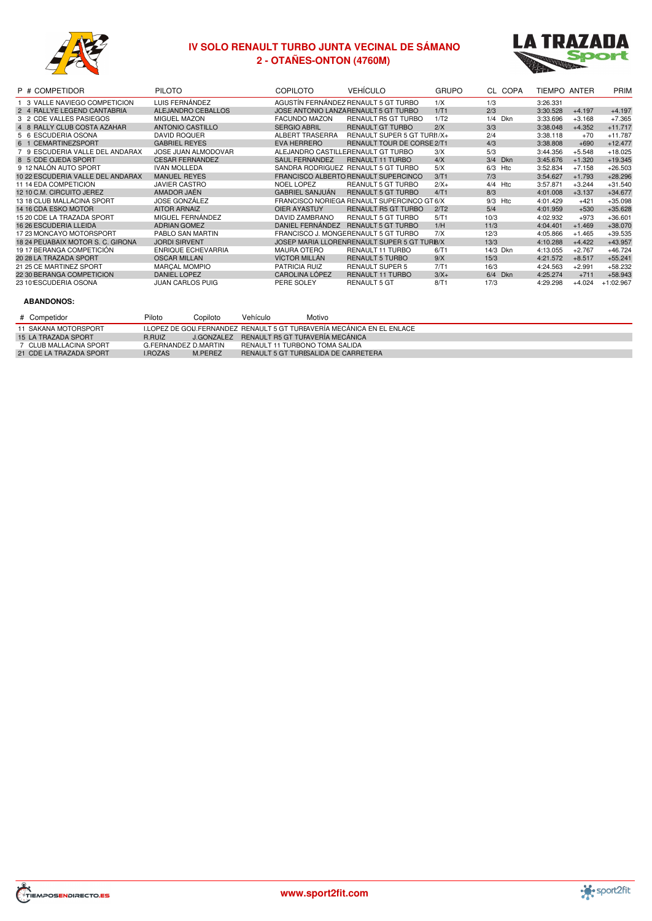

# **IV SOLO RENAULT TURBO JUNTA VECINAL DE SÁMANO - OTAÑES-ONTON (4760M)**



| P # COMPETIDOR                    | <b>PILOTO</b>             | <b>COPILOTO</b>        | <b>VEHÍCULO</b>                              | <b>GRUPO</b> | CL COPA    | TIEMPO ANTER |          | PRIM        |
|-----------------------------------|---------------------------|------------------------|----------------------------------------------|--------------|------------|--------------|----------|-------------|
| 1 3 VALLE NAVIEGO COMPETICION     | LUIS FERNÁNDEZ            |                        | AGUSTÍN FERNÁNDEZ RENAULT 5 GT TURBO         | 1/X          | 1/3        | 3:26.331     |          |             |
| 2 4 RALLYE LEGEND CANTABRIA       | ALEJANDRO CEBALLOS        |                        | JOSE ANTONIO LANZA RENAULT 5 GT TURBO        | 1/T1         | 2/3        | 3:30.528     | $+4.197$ | $+4.197$    |
| 3 2 CDE VALLES PASIEGOS           | MIGUEL MAZON              | <b>FACUNDO MAZON</b>   | RENAULT R5 GT TURBO                          | 1/T2         | 1/4<br>Dkn | 3:33.696     | $+3.168$ | $+7.365$    |
| 4 8 RALLY CLUB COSTA AZAHAR       | ANTONIO CASTILLO          | <b>SERGIO ABRIL</b>    | <b>RENAULT GT TURBO</b>                      | 2/X          | 3/3        | 3:38.048     | $+4.352$ | $+11.717$   |
| 5 6 ESCUDERIA OSONA               | <b>DAVID ROQUER</b>       | ALBERT TRASERRA        | RENAULT SUPER 5 GT TURI1/X+                  |              | 2/4        | 3:38.118     | $+70$    | $+11.787$   |
| 6 1 CEMARTINEZSPORT               | <b>GABRIEL REYES</b>      | <b>EVA HERRERO</b>     | <b>RENAULT TOUR DE CORSE 2/T1</b>            |              | 4/3        | 3:38.808     | $+690$   | $+12.477$   |
| 7 9 ESCUDERIA VALLE DEL ANDARAX   | JOSE JUAN ALMODOVAR       |                        | ALEJANDRO CASTILLERENAULT GT TURBO           | 3/X          | 5/3        | 3:44.356     | $+5.548$ | $+18.025$   |
| 8 5 CDE OJEDA SPORT               | <b>CESAR FERNANDEZ</b>    | <b>SAUL FERNANDEZ</b>  | <b>RENAULT 11 TURBO</b>                      | 4/X          | 3/4 Dkn    | 3:45.676     | $+1.320$ | $+19.345$   |
| 9 12 NALÓN AUTO SPORT             | <b>IVAN MOLLEDA</b>       |                        | SANDRA RODRIGUEZ RENAULT 5 GT TURBO          | 5/X          | 6/3<br>Htc | 3:52.834     | $+7.158$ | $+26.503$   |
| 10 22 ESCUDERIA VALLE DEL ANDARAX | <b>MANUEL REYES</b>       |                        | FRANCISCO ALBERTO RENAULT SUPERCINCO         | 3/T1         | 7/3        | 3:54.627     | $+1.793$ | $+28.296$   |
| 11 14 EDA COMPETICION             | <b>JAVIER CASTRO</b>      | <b>NOEL LOPEZ</b>      | <b>REANULT 5 GT TURBO</b>                    | $2/X+$       | 4/4<br>Htc | 3:57.871     | $+3.244$ | $+31.540$   |
| 12 10 C.M. CIRCUITO JEREZ         | AMADOR JAÉN               | <b>GABRIEL SANJUAN</b> | <b>RENAULT 5 GT TURBO</b>                    | 4/T1         | 8/3        | 4:01.008     | $+3.137$ | $+34.677$   |
| 13 18 CLUB MALLACINA SPORT        | <b>JOSE GONZÁLEZ</b>      |                        | FRANCISCO NORIEGA RENAULT SUPERCINCO GT 6/X  |              | 9/3<br>Htc | 4:01.429     | $+421$   | $+35.098$   |
| 14 16 CDA ESKO MOTOR              | <b>AITOR ARNAIZ</b>       | OIER AYASTUY           | <b>RENAULT R5 GT TURBO</b>                   | 2/T2         | 5/4        | 4:01.959     | $+530$   | $+35.628$   |
| 15 20 CDE LA TRAZADA SPORT        | MIGUEL FERNÁNDEZ          | DAVID ZAMBRANO         | <b>RENAULT 5 GT TURBO</b>                    | 5/T1         | 10/3       | 4:02.932     | $+973$   | $+36.601$   |
| <b>16 26 ESCUDERIA LLEIDA</b>     | <b>ADRIAN GOMEZ</b>       | DANIEL FERNÁNDEZ       | <b>RENAULT 5 GT TURBO</b>                    | 1/H          | 11/3       | 4:04.401     | $+1.469$ | $+38.070$   |
| 17 23 MONCAYO MOTORSPORT          | PABLO SAN MARTIN          |                        | FRANCISCO J. MONGERENAULT 5 GT TURBO         | 7/X          | 12/3       | 4:05.866     | $+1.465$ | $+39.535$   |
| 18 24 PEUABAIX MOTOR S. C. GIRONA | <b>JORDI SIRVENT</b>      |                        | JOSEP MARIA LLORENRENAULT SUPER 5 GT TURI8/X |              | 13/3       | 4:10.288     | $+4.422$ | $+43.957$   |
| 19 17 BERANGA COMPETICIÓN         | <b>ENRIQUE ECHEVARRIA</b> | <b>MAURA OTERO</b>     | RENAULT 11 TURBO                             | 6/T1         | 14/3 Dkn   | 4:13.055     | $+2.767$ | $+46.724$   |
| 20 28 LA TRAZADA SPORT            | <b>OSCAR MILLAN</b>       | <b>VÍCTOR MILLÁN</b>   | <b>RENAULT 5 TURBO</b>                       | 9/X          | 15/3       | 4:21.572     | $+8.517$ | $+55.241$   |
| 21 25 CE MARTINEZ SPORT           | <b>MARCAL MOMPIO</b>      | <b>PATRICIA RUIZ</b>   | <b>RENAULT SUPER 5</b>                       | 7/T1         | 16/3       | 4:24.563     | $+2.991$ | $+58.232$   |
| 22 30 BERANGA COMPETICION         | <b>DANIEL LOPEZ</b>       | <b>CAROLINA LÓPEZ</b>  | <b>RENAULT 11 TURBO</b>                      | $3/X+$       | 6/4 Dkn    | 4:25.274     | $+711$   | $+58.943$   |
| 23 101ESCUDERIA OSONA             | <b>JUAN CARLOS PUIG</b>   | PERE SOLEY             | <b>RENAULT 5 GT</b>                          | 8/T1         | 17/3       | 4:29.298     | $+4.024$ | $+1:02.967$ |

| # Competidor            | Piloto               | Copiloto | Vehículo                       | Motivo                                                                 |
|-------------------------|----------------------|----------|--------------------------------|------------------------------------------------------------------------|
| 11 SAKANA MOTORSPORT    |                      |          |                                | I.LOPEZ DE GOU.FERNANDEZ RENAULT 5 GT TUREAVERÍA MECÁNICA EN EL ENLACE |
| 15 LA TRAZADA SPORT     | R.RUIZ               |          |                                | J.GONZALEZ RENAULT R5 GT TUFAVERÍA MECÁNICA                            |
| 7 CLUB MALLACINA SPORT  | G.FERNANDEZ D.MARTIN |          | RENAULT 11 TURBONO TOMA SALIDA |                                                                        |
| 21 CDE LA TRAZADA SPORT | <b>LROZAS</b>        | M.PEREZ  |                                | RENAULT 5 GT TURESALIDA DE CARRETERA                                   |



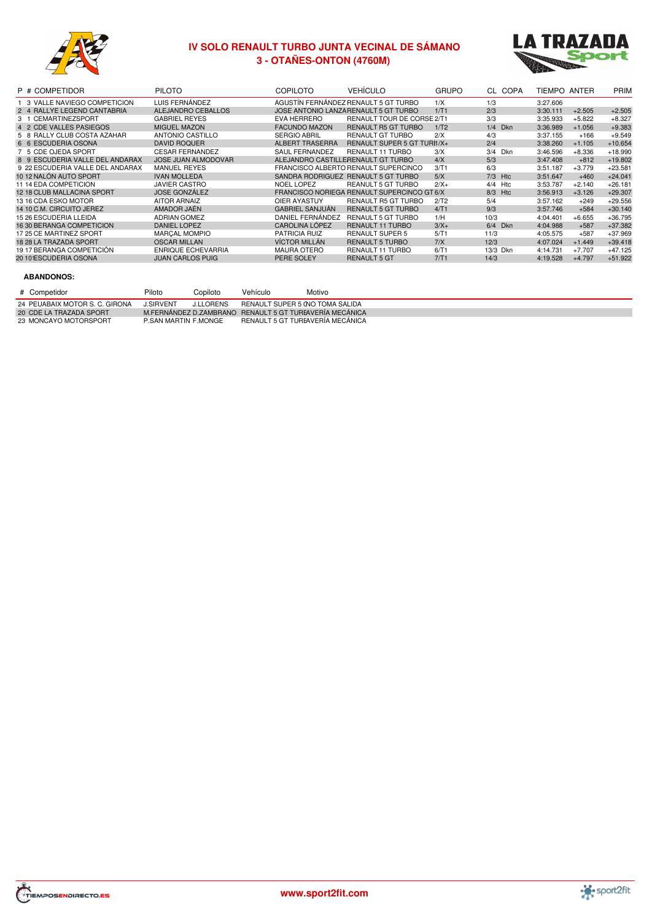

# **IV SOLO RENAULT TURBO JUNTA VECINAL DE SÁMANO - OTAÑES-ONTON (4760M)**



| P # COMPETIDOR                   | <b>PILOTO</b>             | <b>COPILOTO</b>        | <b>VEHÍCULO</b>                             | <b>GRUPO</b> | CL COPA           | TIEMPO ANTER |          | PRIM      |
|----------------------------------|---------------------------|------------------------|---------------------------------------------|--------------|-------------------|--------------|----------|-----------|
| 1 3 VALLE NAVIEGO COMPETICION    | LUIS FERNÁNDEZ            |                        | AGUSTÍN FERNÁNDEZ RENAULT 5 GT TURBO        | 1/X          | 1/3               | 3:27.606     |          |           |
| 2 4 RALLYE LEGEND CANTABRIA      | ALEJANDRO CEBALLOS        |                        | JOSE ANTONIO LANZA RENAULT 5 GT TURBO       | 1/T1         | 2/3               | 3:30.111     | $+2.505$ | $+2.505$  |
| 3 1 CEMARTINEZSPORT              | <b>GABRIEL REYES</b>      | EVA HERRERO            | <b>RENAULT TOUR DE CORSE 2/T1</b>           |              | 3/3               | 3:35.933     | $+5.822$ | $+8.327$  |
| 4 2 CDE VALLES PASIEGOS          | <b>MIGUEL MAZON</b>       | <b>FACUNDO MAZON</b>   | <b>RENAULT R5 GT TURBO</b>                  | 1/T2         | 1/4<br><b>Dkn</b> | 3:36.989     | $+1.056$ | $+9.383$  |
| 5 8 RALLY CLUB COSTA AZAHAR      | ANTONIO CASTILLO          | <b>SERGIO ABRIL</b>    | <b>RENAULT GT TURBO</b>                     | 2/X          | 4/3               | 3:37.155     | $+166$   | $+9.549$  |
| 6 6 ESCUDERIA OSONA              | <b>DAVID ROQUER</b>       | <b>ALBERT TRASERRA</b> | RENAULT SUPER 5 GT TURI1/X+                 |              | 2/4               | 3:38.260     | $+1.105$ | $+10.654$ |
| 7 5 CDE OJEDA SPORT              | <b>CESAR FERNANDEZ</b>    | <b>SAUL FERNANDEZ</b>  | <b>RENAULT 11 TURBO</b>                     | 3/X          | 3/4<br><b>Dkn</b> | 3:46.596     | $+8.336$ | $+18.990$ |
| 8 9 ESCUDERIA VALLE DEL ANDARAX  | JOSE JUAN ALMODOVAR       |                        | ALEJANDRO CASTILLERENAULT GT TURBO          | 4/X          | 5/3               | 3:47.408     | $+812$   | $+19.802$ |
| 9 22 ESCUDERIA VALLE DEL ANDARAX | <b>MANUEL REYES</b>       |                        | FRANCISCO ALBERTO RENAULT SUPERCINCO        | 3/T1         | 6/3               | 3:51.187     | $+3.779$ | $+23.581$ |
| 10 12 NALÓN AUTO SPORT           | <b>IVAN MOLLEDA</b>       |                        | SANDRA RODRIGUEZ RENAULT 5 GT TURBO         | 5/X          | 7/3<br>Htc        | 3:51.647     | $+460$   | $+24.041$ |
| 11 14 EDA COMPETICION            | <b>JAVIER CASTRO</b>      | NOEL LOPEZ             | <b>REANULT 5 GT TURBO</b>                   | $2/X+$       | 4/4<br>Htc        | 3:53.787     | $+2.140$ | $+26.181$ |
| 12 18 CLUB MALLACINA SPORT       | <b>JOSE GONZÁLEZ</b>      |                        | FRANCISCO NORIEGA RENAULT SUPERCINCO GT 6/X |              | 8/3<br>Htc        | 3:56.913     | $+3.126$ | $+29.307$ |
| 13 16 CDA ESKO MOTOR             | <b>AITOR ARNAIZ</b>       | OIER AYASTUY           | <b>RENAULT R5 GT TURBO</b>                  | 2/T2         | 5/4               | 3:57.162     | $+249$   | $+29.556$ |
| 14 10 C.M. CIRCUITO JEREZ        | AMADOR JAÉN               | <b>GABRIEL SANJUÁN</b> | <b>RENAULT 5 GT TURBO</b>                   | 4/T1         | 9/3               | 3:57.746     | $+584$   | $+30.140$ |
| 15 26 ESCUDERIA LLEIDA           | <b>ADRIAN GOMEZ</b>       | DANIEL FERNÁNDEZ       | RENAULT 5 GT TURBO                          | 1/H          | 10/3              | 4:04.401     | $+6.655$ | $+36.795$ |
| 16 30 BERANGA COMPETICION        | DANIEL LOPEZ              | CAROLINA LÓPEZ         | <b>RENAULT 11 TURBO</b>                     | $3/X+$       | 6/4<br><b>Dkn</b> | 4:04.988     | $+587$   | $+37.382$ |
| 17 25 CE MARTINEZ SPORT          | <b>MARCAL MOMPIO</b>      | <b>PATRICIA RUIZ</b>   | <b>RENAULT SUPER 5</b>                      | 5/T1         | 11/3              | 4:05.575     | $+587$   | $+37.969$ |
| 18 28 LA TRAZADA SPORT           | <b>OSCAR MILLAN</b>       | <b>VÍCTOR MILLÁN</b>   | <b>RENAULT 5 TURBO</b>                      | 7/X          | 12/3              | 4:07.024     | $+1.449$ | $+39.418$ |
| 19 17 BERANGA COMPETICIÓN        | <b>ENRIQUE ECHEVARRIA</b> | <b>MAURA OTERO</b>     | <b>RENAULT 11 TURBO</b>                     | 6/T1         | 13/3 Dkn          | 4:14.731     | $+7.707$ | $+47.125$ |
| 20101ESCUDERIA OSONA             | <b>JUAN CARLOS PUIG</b>   | PERE SOLEY             | <b>RENAULT 5 GT</b>                         | 7/T1         | 14/3              | 4:19.528     | $+4.797$ | $+51.922$ |
|                                  |                           |                        |                                             |              |                   |              |          |           |

| # Competidor                   | Piloto               | Copiloto         | Vehículo                        | Motivo                                                  |
|--------------------------------|----------------------|------------------|---------------------------------|---------------------------------------------------------|
| 24 PEUABAIX MOTOR S. C. GIRONA | <b>J.SIRVENT</b>     | <b>J.LLORENS</b> | RENAULT SUPER 5 (NO TOMA SALIDA |                                                         |
| 20 CDE LA TRAZADA SPORT        |                      |                  |                                 | M.FERNÁNDEZ D.ZAMBRANO RENAULT 5 GT TUREAVERÍA MECÁNICA |
| 23 MONCAYO MOTORSPORT          | P.SAN MARTIN F.MONGE |                  |                                 | RENAULT 5 GT TUREAVERÍA MECÁNICA                        |



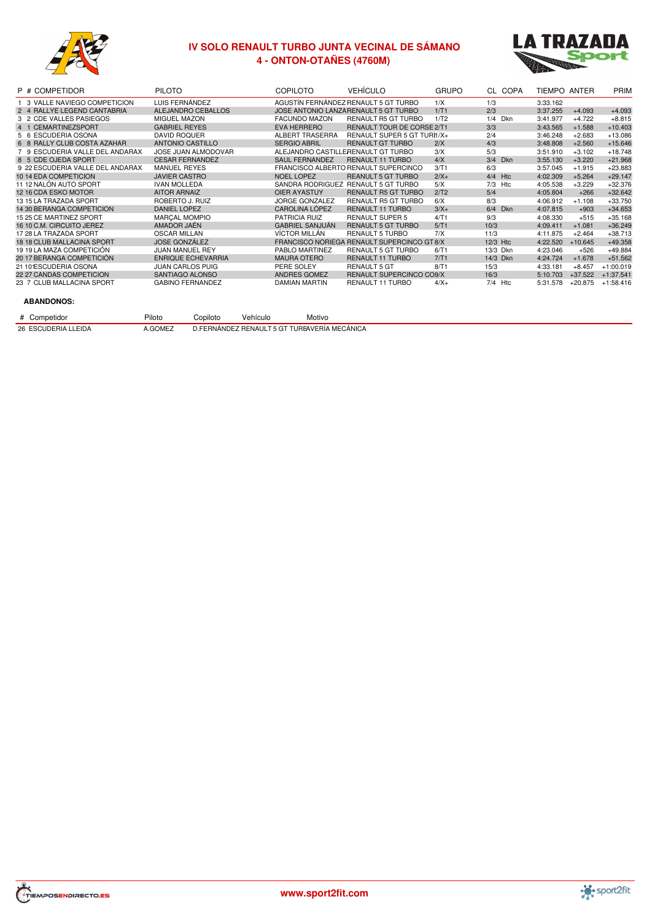

# **IV SOLO RENAULT TURBO JUNTA VECINAL DE SÁMANO - ONTON-OTAÑES (4760M)**



| P # COMPETIDOR                   | <b>PILOTO</b>             | <b>COPILOTO</b>                    | <b>VEHÍCULO</b>                             | <b>GRUPO</b> |           | CL COPA    | TIEMPO ANTER |           | PRIM        |
|----------------------------------|---------------------------|------------------------------------|---------------------------------------------|--------------|-----------|------------|--------------|-----------|-------------|
| 3 VALLE NAVIEGO COMPETICION      | LUIS FERNÁNDEZ            |                                    | AGUSTÍN FERNÁNDEZ RENAULT 5 GT TURBO        | 1/X          | 1/3       |            | 3:33.162     |           |             |
| 2 4 RALLYE LEGEND CANTABRIA      | ALEJANDRO CEBALLOS        |                                    | JOSE ANTONIO LANZA RENAULT 5 GT TURBO       | 1/T1         | 2/3       |            | 3:37.255     | $+4.093$  | $+4.093$    |
| 3 2 CDE VALLES PASIEGOS          | MIGUEL MAZON              | <b>FACUNDO MAZON</b>               | <b>RENAULT R5 GT TURBO</b>                  | 1/T2         | 1/4       | <b>Dkn</b> | 3:41.977     | $+4.722$  | $+8.815$    |
| 4 1 CEMARTINEZSPORT              | <b>GABRIEL REYES</b>      | <b>EVA HERRERO</b>                 | <b>RENAULT TOUR DE CORSE 2/T1</b>           |              | 3/3       |            | 3:43.565     | $+1.588$  | $+10.403$   |
| 5 6 ESCUDERIA OSONA              | <b>DAVID ROQUER</b>       | ALBERT TRASERRA                    | RENAULT SUPER 5 GT TURI1/X+                 |              | 2/4       |            | 3:46.248     | $+2.683$  | $+13.086$   |
| 6 8 RALLY CLUB COSTA AZAHAR      | ANTONIO CASTILLO          | <b>SERGIO ABRIL</b>                | <b>RENAULT GT TURBO</b>                     | 2/X          | 4/3       |            | 3:48.808     | $+2.560$  | $+15.646$   |
| 7 9 ESCUDERIA VALLE DEL ANDARAX  | JOSE JUAN ALMODOVAR       | ALEJANDRO CASTILLERENAULT GT TURBO |                                             | 3/X          | 5/3       |            | 3:51.910     | $+3.102$  | $+18.748$   |
| 8 5 CDE OJEDA SPORT              | <b>CESAR FERNANDEZ</b>    | <b>SAUL FERNANDEZ</b>              | <b>RENAULT 11 TURBO</b>                     | 4/X          |           | 3/4 Dkn    | 3:55.130     | $+3.220$  | $+21.968$   |
| 9 22 ESCUDERIA VALLE DEL ANDARAX | <b>MANUEL REYES</b>       |                                    | FRANCISCO ALBERTO RENAULT SUPERCINCO        | 3/T1         | 6/3       |            | 3:57.045     | $+1.915$  | $+23.883$   |
| 10 14 EDA COMPETICION            | <b>JAVIER CASTRO</b>      | <b>NOEL LOPEZ</b>                  | <b>REANULT 5 GT TURBO</b>                   | $2/X+$       | 4/4       | Htc        | 4:02.309     | $+5.264$  | $+29.147$   |
| 11 12 NALÓN AUTO SPORT           | <b>IVAN MOLLEDA</b>       |                                    | SANDRA RODRIGUEZ RENAULT 5 GT TURBO         | 5/X          | 7/3       | Htc        | 4:05.538     | $+3.229$  | $+32.376$   |
| 12 16 CDA ESKO MOTOR             | <b>AITOR ARNAIZ</b>       | OIER AYASTUY                       | <b>RENAULT R5 GT TURBO</b>                  | 2/T2         | 5/4       |            | 4:05.804     | $+266$    | $+32.642$   |
| 13 15 LA TRAZADA SPORT           | ROBERTO J. RUIZ           | <b>JORGE GONZALEZ</b>              | <b>RENAULT R5 GT TURBO</b>                  | 6/X          | 8/3       |            | 4:06.912     | $+1.108$  | $+33.750$   |
| 14 30 BERANGA COMPETICION        | <b>DANIEL LOPEZ</b>       | CAROLINA LÓPEZ                     | <b>RENAULT 11 TURBO</b>                     | $3/X+$       |           | 6/4 Dkn    | 4:07.815     | $+903$    | $+34.653$   |
| 15 25 CE MARTINEZ SPORT          | <b>MARCAL MOMPIO</b>      | <b>PATRICIA RUIZ</b>               | <b>RENAULT SUPER 5</b>                      | 4/T1         | 9/3       |            | 4:08.330     | $+515$    | $+35.168$   |
| 16 10 C.M. CIRCUITO JEREZ        | AMADOR JAÉN               | <b>GABRIEL SANJUÁN</b>             | <b>RENAULT 5 GT TURBO</b>                   | 5/T1         | 10/3      |            | 4:09.411     | $+1.081$  | $+36.249$   |
| 17 28 LA TRAZADA SPORT           | <b>OSCAR MILLAN</b>       | VÍCTOR MILLÁN                      | <b>RENAULT 5 TURBO</b>                      | 7/X          | 11/3      |            | 4:11.875     | $+2.464$  | $+38.713$   |
| 18 18 CLUB MALLACINA SPORT       | <b>JOSE GONZÁLEZ</b>      |                                    | FRANCISCO NORIEGA RENAULT SUPERCINCO GT 8/X |              | 12/3 Htc  |            | 4:22.520     | $+10.645$ | $+49.358$   |
| 19 19 LA MAZA COMPETICIÓN        | <b>JUAN MANUEL REY</b>    | PABLO MARTINEZ                     | <b>RENAULT 5 GT TURBO</b>                   | 6/T1         | 13/3 Dkn  |            | 4:23.046     | $+526$    | $+49.884$   |
| 20 17 BERANGA COMPETICIÓN        | <b>ENRIQUE ECHEVARRIA</b> | <b>MAURA OTERO</b>                 | <b>RENAULT 11 TURBO</b>                     | 7/T1         | 14/3 Dkn  |            | 4:24.724     | $+1.678$  | $+51.562$   |
| 21 101ESCUDERIA OSONA            | <b>JUAN CARLOS PUIG</b>   | PERE SOLEY                         | <b>RENAULT 5 GT</b>                         | 8/T1         | 15/3      |            | 4:33.181     | $+8.457$  | $+1:00.019$ |
| 22 27 CANDAS COMPETICION         | SANTIAGO ALONSO           | ANDRES GOMEZ                       | <b>RENAULT SUPERCINCO CO9/X</b>             |              | 16/3      |            | 5:10.703     | $+37.522$ | $+1:37.541$ |
| 23 7 CLUB MALLACINA SPORT        | <b>GABINO FERNANDEZ</b>   | DAMIAN MARTIN                      | RENAULT 11 TURBO                            | $4/X+$       | $7/4$ Htc |            | 5:31.578     | $+20.875$ | $+1:58.416$ |

| # Competidor        | Piloto  | Copiloto | Vehículo | Motivo                                       |
|---------------------|---------|----------|----------|----------------------------------------------|
| 26 ESCUDERIA LLEIDA | A.GOMEZ |          |          | D.FERNÁNDEZ RENAULT 5 GT TUREAVERÍA MECÁNICA |



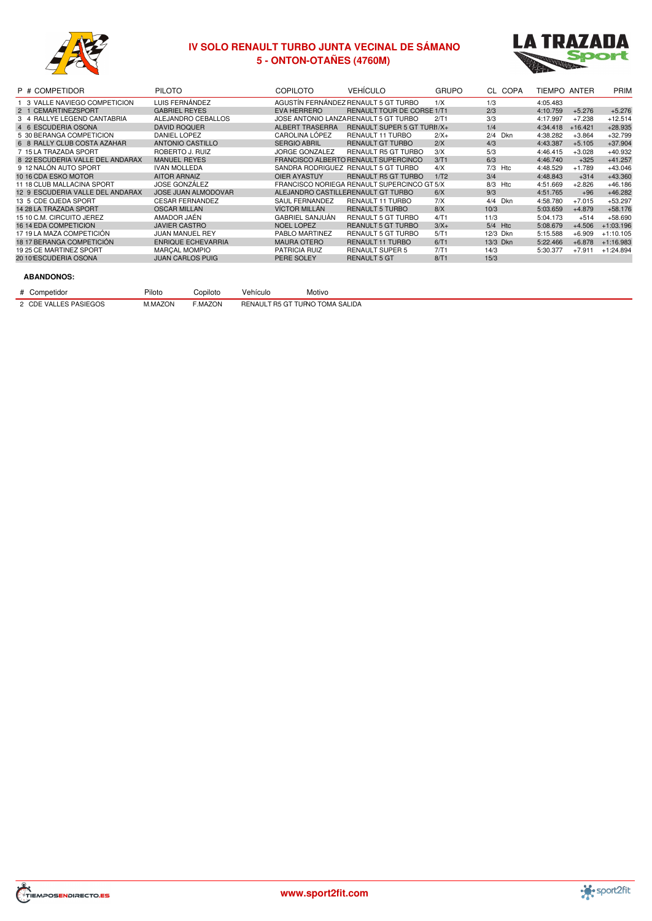

# **IV SOLO RENAULT TURBO JUNTA VECINAL DE SÁMANO - ONTON-OTAÑES (4760M)**



| P # COMPETIDOR                   | <b>PILOTO</b>              | <b>COPILOTO</b>        | <b>VEHÍCULO</b>                             | <b>GRUPO</b>     | CL COPA           | TIEMPO ANTER |           | <b>PRIM</b> |
|----------------------------------|----------------------------|------------------------|---------------------------------------------|------------------|-------------------|--------------|-----------|-------------|
| 1 3 VALLE NAVIEGO COMPETICION    | LUIS FERNÁNDEZ             |                        | AGUSTÍN FERNÁNDEZ RENAULT 5 GT TURBO        | 1/X              | 1/3               | 4:05.483     |           |             |
| 2 1 CEMARTINEZSPORT              | <b>GABRIEL REYES</b>       | <b>EVA HERRERO</b>     | RENAULT TOUR DE CORSE 1/T1                  |                  | 2/3               | 4:10.759     | $+5.276$  | $+5.276$    |
| 3 4 RALLYE LEGEND CANTABRIA      | ALEJANDRO CEBALLOS         |                        | JOSE ANTONIO LANZARENAULT 5 GT TURBO        | 2/T1             | 3/3               | 4:17.997     | $+7.238$  | $+12.514$   |
| 4 6 ESCUDERIA OSONA              | <b>DAVID ROQUER</b>        | <b>ALBERT TRASERRA</b> | RENAULT SUPER 5 GT TURI1/X+                 |                  | 1/4               | 4:34.418     | $+16.421$ | $+28.935$   |
| 5 30 BERANGA COMPETICION         | <b>DANIEL LOPEZ</b>        | CAROLINA LÓPEZ         | RENAULT 11 TURBO                            | $2/X+$           | 2/4<br><b>Dkn</b> | 4:38.282     | $+3.864$  | $+32.799$   |
| 6 8 RALLY CLUB COSTA AZAHAR      | ANTONIO CASTILLO           | <b>SERGIO ABRIL</b>    | <b>RENAULT GT TURBO</b>                     | 2/X              | 4/3               | 4:43.387     | $+5.105$  | $+37.904$   |
| 7 15 LA TRAZADA SPORT            | ROBERTO J. RUIZ            | JORGE GONZALEZ         | <b>RENAULT R5 GT TURBO</b>                  | 3/X              | 5/3               | 4:46.415     | $+3.028$  | $+40.932$   |
| 8 22 ESCUDERIA VALLE DEL ANDARAX | <b>MANUEL REYES</b>        |                        | FRANCISCO ALBERTO RENAULT SUPERCINCO        | 3/T1             | 6/3               | 4:46.740     | $+325$    | $+41.257$   |
| 9 12 NALÓN AUTO SPORT            | <b>IVAN MOLLEDA</b>        |                        | SANDRA RODRIGUEZ RENAULT 5 GT TURBO         | 4/X              | 7/3<br>Htc        | 4:48.529     | $+1.789$  | $+43.046$   |
| 10 16 CDA ESKO MOTOR             | <b>AITOR ARNAIZ</b>        | <b>OIER AYASTUY</b>    | <b>RENAULT R5 GT TURBO</b>                  | 1/T <sub>2</sub> | 3/4               | 4:48.843     | $+314$    | $+43.360$   |
| 11 18 CLUB MALLACINA SPORT       | <b>JOSE GONZÁLEZ</b>       |                        | FRANCISCO NORIEGA RENAULT SUPERCINCO GT 5/X |                  | 8/3<br>Htc        | 4:51.669     | $+2.826$  | $+46.186$   |
| 12 9 ESCUDERIA VALLE DEL ANDARAX | <b>JOSE JUAN ALMODOVAR</b> |                        | ALEJANDRO CASTILLERENAULT GT TURBO          | 6/X              | 9/3               | 4:51.765     | $+96$     | $+46.282$   |
| 13 5 CDE OJEDA SPORT             | <b>CESAR FERNANDEZ</b>     | <b>SAUL FERNANDEZ</b>  | RENAULT 11 TURBO                            | 7/X              | 4/4<br>Dkn        | 4:58.780     | $+7.015$  | $+53.297$   |
| 14 28 LA TRAZADA SPORT           | <b>OSCAR MILLAN</b>        | VÍCTOR MILLÁN          | <b>RENAULT 5 TURBO</b>                      | 8/X              | 10/3              | 5:03.659     | $+4.879$  | $+58.176$   |
| 15 10 C.M. CIRCUITO JEREZ        | AMADOR JAÉN                | <b>GABRIEL SANJUÁN</b> | <b>RENAULT 5 GT TURBO</b>                   | 4/T1             | 11/3              | 5:04.173     | $+514$    | $+58.690$   |
| <b>16 14 EDA COMPETICION</b>     | <b>JAVIER CASTRO</b>       | <b>NOEL LOPEZ</b>      | <b>REANULT 5 GT TURBO</b>                   | $3/X+$           | $5/4$ Htc         | 5:08.679     | $+4.506$  | $+1:03.196$ |
| 17 19 LA MAZA COMPETICIÓN        | <b>JUAN MANUEL REY</b>     | PABLO MARTINEZ         | <b>RENAULT 5 GT TURBO</b>                   | 5/T1             | 12/3 Dkn          | 5:15.588     | $+6.909$  | $+1:10.105$ |
| 18 17 BERANGA COMPETICIÓN        | <b>ENRIQUE ECHEVARRIA</b>  | <b>MAURA OTERO</b>     | <b>RENAULT 11 TURBO</b>                     | 6/T1             | 13/3 Dkn          | 5:22.466     | $+6.878$  | $+1:16.983$ |
| 19 25 CE MARTINEZ SPORT          | <b>MARCAL MOMPIO</b>       | <b>PATRICIA RUIZ</b>   | <b>RENAULT SUPER 5</b>                      | 7/T1             | 14/3              | 5:30.377     | $+7.911$  | $+1:24.894$ |
| 2010 ESCUDERIA OSONA             | <b>JUAN CARLOS PUIG</b>    | PERE SOLEY             | <b>RENAULT 5 GT</b>                         | 8/T1             | 15/3              |              |           |             |
|                                  |                            |                        |                                             |                  |                   |              |           |             |

| # Competidor          | Piloto  | Copiloto | Vehículo                        | Motivo |
|-----------------------|---------|----------|---------------------------------|--------|
| 2 CDE VALLES PASIEGOS | M.MAZON | F.MAZON  | RENAULT R5 GT TURNO TOMA SALIDA |        |